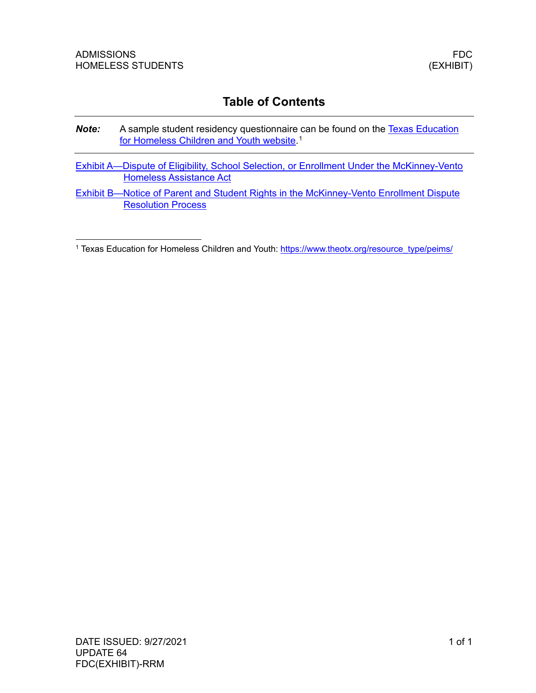# **Table of Contents**

- **Note:** A sample student residency questionnaire can be found on the Texas Education [for Homeless Children and Youth website.](https://www.theotx.org/resource_type/peims/)<sup>[1](#page-0-0)</sup>
- [Exhibit A—Dispute of Eligibility, School Selection, or Enrollment Under the McKinney-Vento](#page-2-0)  [Homeless Assistance Act](#page-2-0)
- [Exhibit B—Notice of Parent and Student Rights in the McKinney-Vento Enrollment Dispute](#page-6-0)  [Resolution Process](#page-6-0)

<span id="page-0-0"></span><sup>&</sup>lt;sup>1</sup> Texas Education for Homeless Children and Youth: [https://www.theotx.org/resource\\_type/peims/](https://www.theotx.org/resource_type/peims/)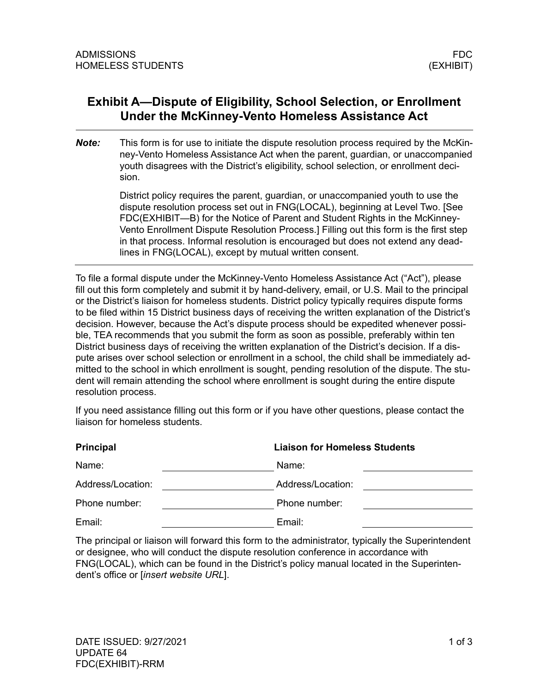## <span id="page-2-0"></span>**Exhibit A—Dispute of Eligibility, School Selection, or Enrollment Under the McKinney-Vento Homeless Assistance Act**

*Note:* This form is for use to initiate the dispute resolution process required by the McKinney-Vento Homeless Assistance Act when the parent, guardian, or unaccompanied youth disagrees with the District's eligibility, school selection, or enrollment decision.

> District policy requires the parent, guardian, or unaccompanied youth to use the dispute resolution process set out in FNG(LOCAL), beginning at Level Two. [See FDC(EXHIBIT—B) for the Notice of Parent and Student Rights in the McKinney-Vento Enrollment Dispute Resolution Process.] Filling out this form is the first step in that process. Informal resolution is encouraged but does not extend any deadlines in FNG(LOCAL), except by mutual written consent.

To file a formal dispute under the McKinney-Vento Homeless Assistance Act ("Act"), please fill out this form completely and submit it by hand-delivery, email, or U.S. Mail to the principal or the District's liaison for homeless students. District policy typically requires dispute forms to be filed within 15 District business days of receiving the written explanation of the District's decision. However, because the Act's dispute process should be expedited whenever possible, TEA recommends that you submit the form as soon as possible, preferably within ten District business days of receiving the written explanation of the District's decision. If a dispute arises over school selection or enrollment in a school, the child shall be immediately admitted to the school in which enrollment is sought, pending resolution of the dispute. The student will remain attending the school where enrollment is sought during the entire dispute resolution process.

If you need assistance filling out this form or if you have other questions, please contact the liaison for homeless students.

| <b>Principal</b>  | <b>Liaison for Homeless Students</b> |
|-------------------|--------------------------------------|
| Name:             | Name:                                |
| Address/Location: | Address/Location:                    |
| Phone number:     | Phone number:                        |
| Email:            | Email:                               |

The principal or liaison will forward this form to the administrator, typically the Superintendent or designee, who will conduct the dispute resolution conference in accordance with FNG(LOCAL), which can be found in the District's policy manual located in the Superintendent's office or [*insert website URL*].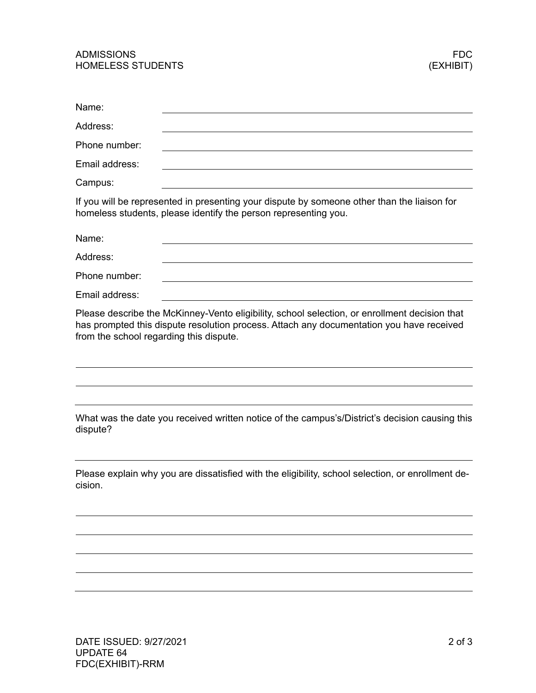## ADMISSIONS FDC HOMELESS STUDENTS

| Name:                                                                                                                                                                                                                                |
|--------------------------------------------------------------------------------------------------------------------------------------------------------------------------------------------------------------------------------------|
| Address:                                                                                                                                                                                                                             |
| Phone number:                                                                                                                                                                                                                        |
| Email address:                                                                                                                                                                                                                       |
| Campus:                                                                                                                                                                                                                              |
| If you will be represented in presenting your dispute by someone other than the liaison for<br>homeless students, please identify the person representing you.                                                                       |
| Name:                                                                                                                                                                                                                                |
| Address:                                                                                                                                                                                                                             |
| Phone number:                                                                                                                                                                                                                        |
| Email address:                                                                                                                                                                                                                       |
| Please describe the McKinney-Vento eligibility, school selection, or enrollment decision that<br>has prompted this dispute resolution process. Attach any documentation you have received<br>from the school regarding this dispute. |
| What was the date you received written notice of the campus's/District's decision causing this<br>dispute?                                                                                                                           |
| Please explain why you are dissatisfied with the eligibility, school selection, or enrollment de-<br>cision.                                                                                                                         |
|                                                                                                                                                                                                                                      |
|                                                                                                                                                                                                                                      |
|                                                                                                                                                                                                                                      |
|                                                                                                                                                                                                                                      |
|                                                                                                                                                                                                                                      |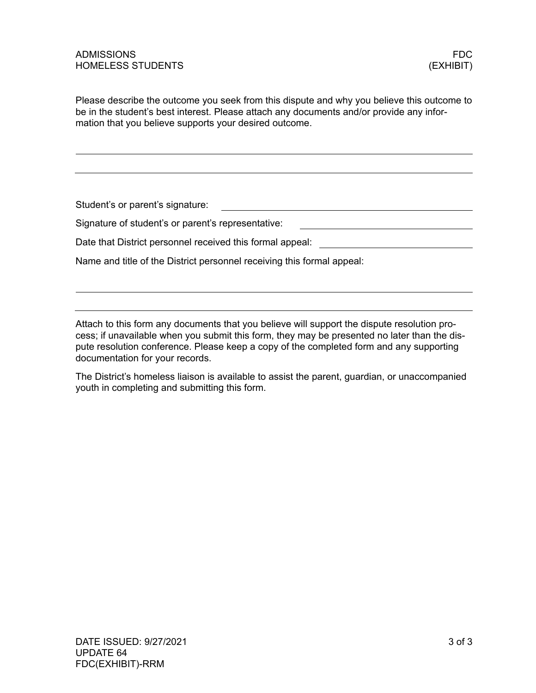<u> 1989 - Johann Barbara, martin amerikan ba</u>

Please describe the outcome you seek from this dispute and why you believe this outcome to be in the student's best interest. Please attach any documents and/or provide any information that you believe supports your desired outcome.

Student's or parent's signature: 

Signature of student's or parent's representative:

Date that District personnel received this formal appeal: \_\_\_\_\_\_\_\_\_\_\_\_\_\_\_\_\_\_\_\_\_\_\_\_\_\_\_\_

Name and title of the District personnel receiving this formal appeal:

Attach to this form any documents that you believe will support the dispute resolution process; if unavailable when you submit this form, they may be presented no later than the dispute resolution conference. Please keep a copy of the completed form and any supporting documentation for your records.

The District's homeless liaison is available to assist the parent, guardian, or unaccompanied youth in completing and submitting this form.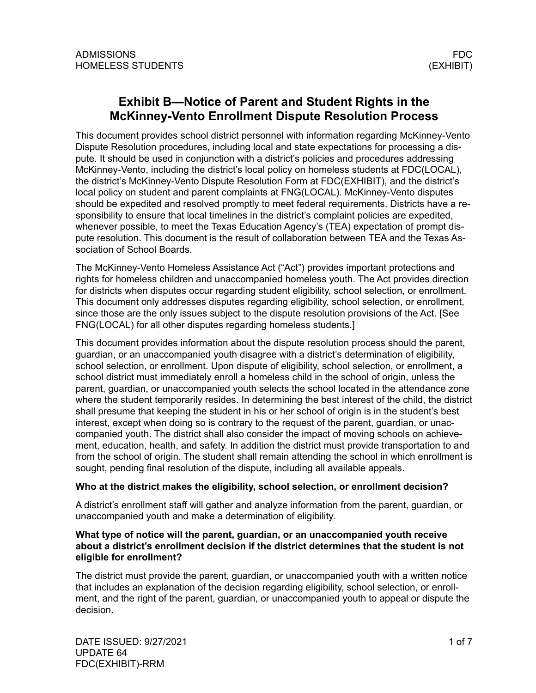## <span id="page-6-0"></span>**Exhibit B—Notice of Parent and Student Rights in the McKinney-Vento Enrollment Dispute Resolution Process**

This document provides school district personnel with information regarding McKinney-Vento Dispute Resolution procedures, including local and state expectations for processing a dispute. It should be used in conjunction with a district's policies and procedures addressing McKinney-Vento, including the district's local policy on homeless students at FDC(LOCAL), the district's McKinney-Vento Dispute Resolution Form at FDC(EXHIBIT), and the district's local policy on student and parent complaints at FNG(LOCAL). McKinney-Vento disputes should be expedited and resolved promptly to meet federal requirements. Districts have a responsibility to ensure that local timelines in the district's complaint policies are expedited, whenever possible, to meet the Texas Education Agency's (TEA) expectation of prompt dispute resolution. This document is the result of collaboration between TEA and the Texas Association of School Boards.

The McKinney-Vento Homeless Assistance Act ("Act") provides important protections and rights for homeless children and unaccompanied homeless youth. The Act provides direction for districts when disputes occur regarding student eligibility, school selection, or enrollment. This document only addresses disputes regarding eligibility, school selection, or enrollment, since those are the only issues subject to the dispute resolution provisions of the Act. [See FNG(LOCAL) for all other disputes regarding homeless students.]

This document provides information about the dispute resolution process should the parent, guardian, or an unaccompanied youth disagree with a district's determination of eligibility, school selection, or enrollment. Upon dispute of eligibility, school selection, or enrollment, a school district must immediately enroll a homeless child in the school of origin, unless the parent, guardian, or unaccompanied youth selects the school located in the attendance zone where the student temporarily resides. In determining the best interest of the child, the district shall presume that keeping the student in his or her school of origin is in the student's best interest, except when doing so is contrary to the request of the parent, guardian, or unaccompanied youth. The district shall also consider the impact of moving schools on achievement, education, health, and safety. In addition the district must provide transportation to and from the school of origin. The student shall remain attending the school in which enrollment is sought, pending final resolution of the dispute, including all available appeals.

## **Who at the district makes the eligibility, school selection, or enrollment decision?**

A district's enrollment staff will gather and analyze information from the parent, guardian, or unaccompanied youth and make a determination of eligibility.

### **What type of notice will the parent, guardian, or an unaccompanied youth receive about a district's enrollment decision if the district determines that the student is not eligible for enrollment?**

The district must provide the parent, guardian, or unaccompanied youth with a written notice that includes an explanation of the decision regarding eligibility, school selection, or enrollment, and the right of the parent, guardian, or unaccompanied youth to appeal or dispute the decision.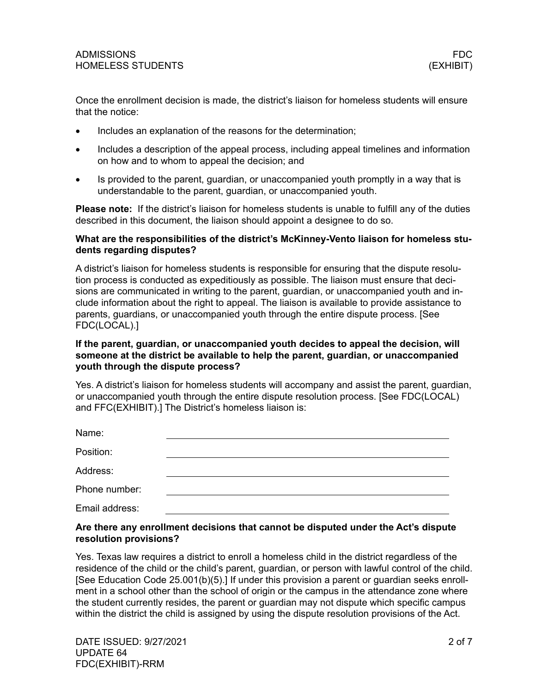Once the enrollment decision is made, the district's liaison for homeless students will ensure that the notice:

- Includes an explanation of the reasons for the determination;
- Includes a description of the appeal process, including appeal timelines and information on how and to whom to appeal the decision; and
- Is provided to the parent, guardian, or unaccompanied youth promptly in a way that is understandable to the parent, guardian, or unaccompanied youth.

**Please note:** If the district's liaison for homeless students is unable to fulfill any of the duties described in this document, the liaison should appoint a designee to do so.

#### **What are the responsibilities of the district's McKinney-Vento liaison for homeless students regarding disputes?**

A district's liaison for homeless students is responsible for ensuring that the dispute resolution process is conducted as expeditiously as possible. The liaison must ensure that decisions are communicated in writing to the parent, guardian, or unaccompanied youth and include information about the right to appeal. The liaison is available to provide assistance to parents, guardians, or unaccompanied youth through the entire dispute process. [See FDC(LOCAL).]

## **If the parent, guardian, or unaccompanied youth decides to appeal the decision, will someone at the district be available to help the parent, guardian, or unaccompanied youth through the dispute process?**

Yes. A district's liaison for homeless students will accompany and assist the parent, guardian, or unaccompanied youth through the entire dispute resolution process. [See FDC(LOCAL) and FFC(EXHIBIT).] The District's homeless liaison is:

| Name:          |  |  |
|----------------|--|--|
| Position:      |  |  |
| Address:       |  |  |
| Phone number:  |  |  |
| Email address: |  |  |

#### **Are there any enrollment decisions that cannot be disputed under the Act's dispute resolution provisions?**

Yes. Texas law requires a district to enroll a homeless child in the district regardless of the residence of the child or the child's parent, guardian, or person with lawful control of the child. [See Education Code 25.001(b)(5).] If under this provision a parent or guardian seeks enrollment in a school other than the school of origin or the campus in the attendance zone where the student currently resides, the parent or guardian may not dispute which specific campus within the district the child is assigned by using the dispute resolution provisions of the Act.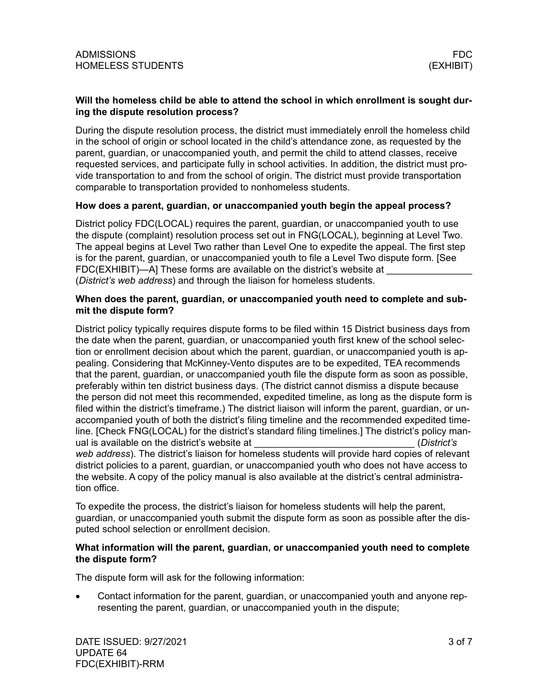## **Will the homeless child be able to attend the school in which enrollment is sought during the dispute resolution process?**

During the dispute resolution process, the district must immediately enroll the homeless child in the school of origin or school located in the child's attendance zone, as requested by the parent, guardian, or unaccompanied youth, and permit the child to attend classes, receive requested services, and participate fully in school activities. In addition, the district must provide transportation to and from the school of origin. The district must provide transportation comparable to transportation provided to nonhomeless students.

## **How does a parent, guardian, or unaccompanied youth begin the appeal process?**

District policy FDC(LOCAL) requires the parent, guardian, or unaccompanied youth to use the dispute (complaint) resolution process set out in FNG(LOCAL), beginning at Level Two. The appeal begins at Level Two rather than Level One to expedite the appeal. The first step is for the parent, guardian, or unaccompanied youth to file a Level Two dispute form. [See FDC(EXHIBIT)—A] These forms are available on the district's website at (*District's web address*) and through the liaison for homeless students.

#### **When does the parent, guardian, or unaccompanied youth need to complete and submit the dispute form?**

District policy typically requires dispute forms to be filed within 15 District business days from the date when the parent, guardian, or unaccompanied youth first knew of the school selection or enrollment decision about which the parent, guardian, or unaccompanied youth is appealing. Considering that McKinney-Vento disputes are to be expedited, TEA recommends that the parent, guardian, or unaccompanied youth file the dispute form as soon as possible, preferably within ten district business days. (The district cannot dismiss a dispute because the person did not meet this recommended, expedited timeline, as long as the dispute form is filed within the district's timeframe.) The district liaison will inform the parent, guardian, or unaccompanied youth of both the district's filing timeline and the recommended expedited timeline. [Check FNG(LOCAL) for the district's standard filing timelines.] The district's policy manual is available on the district's website at \_\_\_\_\_\_\_\_\_\_\_\_\_\_\_\_\_\_\_\_\_\_\_\_\_\_\_\_\_\_ (*District's web address*). The district's liaison for homeless students will provide hard copies of relevant district policies to a parent, guardian, or unaccompanied youth who does not have access to the website. A copy of the policy manual is also available at the district's central administration office.

To expedite the process, the district's liaison for homeless students will help the parent, guardian, or unaccompanied youth submit the dispute form as soon as possible after the disputed school selection or enrollment decision.

#### **What information will the parent, guardian, or unaccompanied youth need to complete the dispute form?**

The dispute form will ask for the following information:

• Contact information for the parent, guardian, or unaccompanied youth and anyone representing the parent, guardian, or unaccompanied youth in the dispute;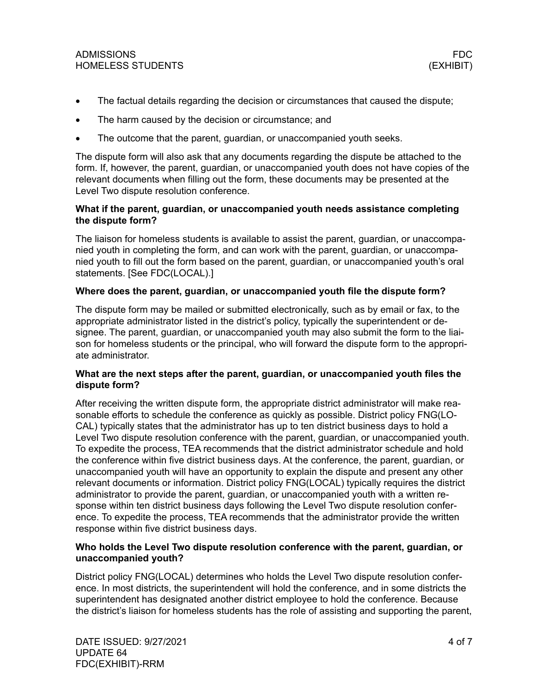- The factual details regarding the decision or circumstances that caused the dispute;
- The harm caused by the decision or circumstance; and
- The outcome that the parent, guardian, or unaccompanied youth seeks.

The dispute form will also ask that any documents regarding the dispute be attached to the form. If, however, the parent, guardian, or unaccompanied youth does not have copies of the relevant documents when filling out the form, these documents may be presented at the Level Two dispute resolution conference.

## **What if the parent, guardian, or unaccompanied youth needs assistance completing the dispute form?**

The liaison for homeless students is available to assist the parent, guardian, or unaccompanied youth in completing the form, and can work with the parent, guardian, or unaccompanied youth to fill out the form based on the parent, guardian, or unaccompanied youth's oral statements. [See FDC(LOCAL).]

## **Where does the parent, guardian, or unaccompanied youth file the dispute form?**

The dispute form may be mailed or submitted electronically, such as by email or fax, to the appropriate administrator listed in the district's policy, typically the superintendent or designee. The parent, guardian, or unaccompanied youth may also submit the form to the liaison for homeless students or the principal, who will forward the dispute form to the appropriate administrator.

## **What are the next steps after the parent, guardian, or unaccompanied youth files the dispute form?**

After receiving the written dispute form, the appropriate district administrator will make reasonable efforts to schedule the conference as quickly as possible. District policy FNG(LO-CAL) typically states that the administrator has up to ten district business days to hold a Level Two dispute resolution conference with the parent, guardian, or unaccompanied youth. To expedite the process, TEA recommends that the district administrator schedule and hold the conference within five district business days. At the conference, the parent, guardian, or unaccompanied youth will have an opportunity to explain the dispute and present any other relevant documents or information. District policy FNG(LOCAL) typically requires the district administrator to provide the parent, guardian, or unaccompanied youth with a written response within ten district business days following the Level Two dispute resolution conference. To expedite the process, TEA recommends that the administrator provide the written response within five district business days.

## **Who holds the Level Two dispute resolution conference with the parent, guardian, or unaccompanied youth?**

District policy FNG(LOCAL) determines who holds the Level Two dispute resolution conference. In most districts, the superintendent will hold the conference, and in some districts the superintendent has designated another district employee to hold the conference. Because the district's liaison for homeless students has the role of assisting and supporting the parent,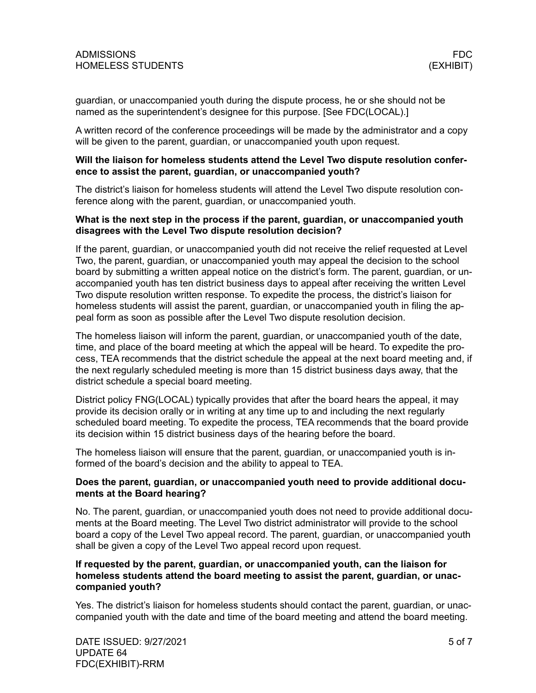guardian, or unaccompanied youth during the dispute process, he or she should not be named as the superintendent's designee for this purpose. [See FDC(LOCAL).]

A written record of the conference proceedings will be made by the administrator and a copy will be given to the parent, guardian, or unaccompanied youth upon request.

#### **Will the liaison for homeless students attend the Level Two dispute resolution conference to assist the parent, guardian, or unaccompanied youth?**

The district's liaison for homeless students will attend the Level Two dispute resolution conference along with the parent, guardian, or unaccompanied youth.

#### **What is the next step in the process if the parent, guardian, or unaccompanied youth disagrees with the Level Two dispute resolution decision?**

If the parent, guardian, or unaccompanied youth did not receive the relief requested at Level Two, the parent, guardian, or unaccompanied youth may appeal the decision to the school board by submitting a written appeal notice on the district's form. The parent, guardian, or unaccompanied youth has ten district business days to appeal after receiving the written Level Two dispute resolution written response. To expedite the process, the district's liaison for homeless students will assist the parent, guardian, or unaccompanied youth in filing the appeal form as soon as possible after the Level Two dispute resolution decision.

The homeless liaison will inform the parent, guardian, or unaccompanied youth of the date, time, and place of the board meeting at which the appeal will be heard. To expedite the process, TEA recommends that the district schedule the appeal at the next board meeting and, if the next regularly scheduled meeting is more than 15 district business days away, that the district schedule a special board meeting.

District policy FNG(LOCAL) typically provides that after the board hears the appeal, it may provide its decision orally or in writing at any time up to and including the next regularly scheduled board meeting. To expedite the process, TEA recommends that the board provide its decision within 15 district business days of the hearing before the board.

The homeless liaison will ensure that the parent, guardian, or unaccompanied youth is informed of the board's decision and the ability to appeal to TEA.

#### **Does the parent, guardian, or unaccompanied youth need to provide additional documents at the Board hearing?**

No. The parent, guardian, or unaccompanied youth does not need to provide additional documents at the Board meeting. The Level Two district administrator will provide to the school board a copy of the Level Two appeal record. The parent, guardian, or unaccompanied youth shall be given a copy of the Level Two appeal record upon request.

## **If requested by the parent, guardian, or unaccompanied youth, can the liaison for homeless students attend the board meeting to assist the parent, guardian, or unaccompanied youth?**

Yes. The district's liaison for homeless students should contact the parent, guardian, or unaccompanied youth with the date and time of the board meeting and attend the board meeting.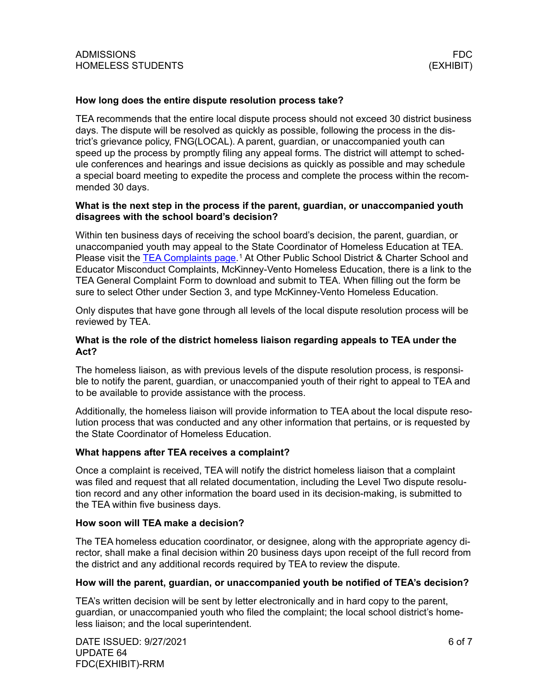#### **How long does the entire dispute resolution process take?**

TEA recommends that the entire local dispute process should not exceed 30 district business days. The dispute will be resolved as quickly as possible, following the process in the district's grievance policy, FNG(LOCAL). A parent, guardian, or unaccompanied youth can speed up the process by promptly filing any appeal forms. The district will attempt to schedule conferences and hearings and issue decisions as quickly as possible and may schedule a special board meeting to expedite the process and complete the process within the recommended 30 days.

#### **What is the next step in the process if the parent, guardian, or unaccompanied youth disagrees with the school board's decision?**

Within ten business days of receiving the school board's decision, the parent, guardian, or unaccompanied youth may appeal to the State Coordinator of Homeless Education at TEA. Please visit the [TEA Complaints page.](https://tea.texas.gov/about-tea/contact-us/complaints-and-investigations)<sup>[1](#page-12-0)</sup> At Other Public School District & Charter School and Educator Misconduct Complaints, McKinney-Vento Homeless Education, there is a link to the TEA General Complaint Form to download and submit to TEA. When filling out the form be sure to select Other under Section 3, and type McKinney-Vento Homeless Education.

Only disputes that have gone through all levels of the local dispute resolution process will be reviewed by TEA.

### **What is the role of the district homeless liaison regarding appeals to TEA under the Act?**

The homeless liaison, as with previous levels of the dispute resolution process, is responsible to notify the parent, guardian, or unaccompanied youth of their right to appeal to TEA and to be available to provide assistance with the process.

Additionally, the homeless liaison will provide information to TEA about the local dispute resolution process that was conducted and any other information that pertains, or is requested by the State Coordinator of Homeless Education.

#### **What happens after TEA receives a complaint?**

Once a complaint is received, TEA will notify the district homeless liaison that a complaint was filed and request that all related documentation, including the Level Two dispute resolution record and any other information the board used in its decision-making, is submitted to the TEA within five business days.

#### **How soon will TEA make a decision?**

The TEA homeless education coordinator, or designee, along with the appropriate agency director, shall make a final decision within 20 business days upon receipt of the full record from the district and any additional records required by TEA to review the dispute.

## **How will the parent, guardian, or unaccompanied youth be notified of TEA's decision?**

TEA's written decision will be sent by letter electronically and in hard copy to the parent, guardian, or unaccompanied youth who filed the complaint; the local school district's homeless liaison; and the local superintendent.